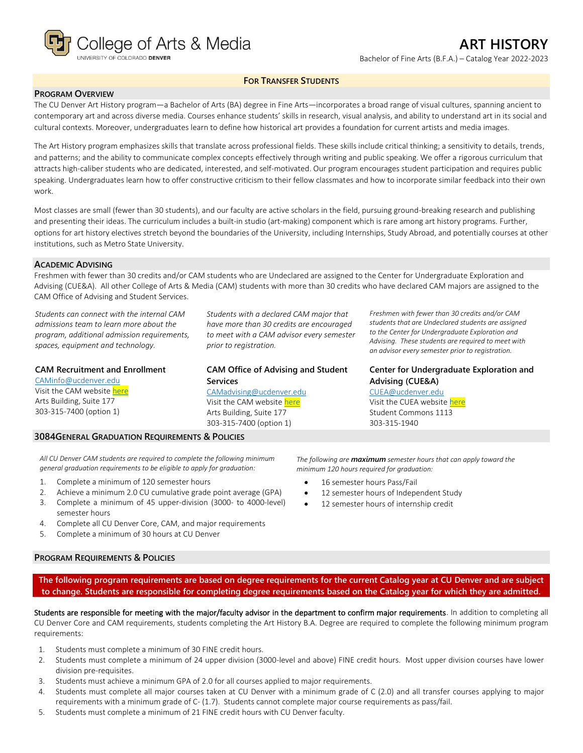

## **FOR TRANSFER STUDENTS**

#### **PROGRAM OVERVIEW**

The CU Denver Art History program—a Bachelor of Arts (BA) degree in Fine Arts—incorporates a broad range of visual cultures, spanning ancient to contemporary art and across diverse media. Courses enhance students' skills in research, visual analysis, and ability to understand art in its social and cultural contexts. Moreover, undergraduates learn to define how historical art provides a foundation for current artists and media images.

The Art History program emphasizes skills that translate across professional fields. These skills include critical thinking; a sensitivity to details, trends, and patterns; and the ability to communicate complex concepts effectively through writing and public speaking. We offer a rigorous curriculum that attracts high-caliber students who are dedicated, interested, and self-motivated. Our program encourages student participation and requires public speaking. Undergraduates learn how to offer constructive criticism to their fellow classmates and how to incorporate similar feedback into their own work.

Most classes are small (fewer than 30 students), and our faculty are active scholars in the field, pursuing ground-breaking research and publishing and presenting their ideas. The curriculum includes a built-in studio (art-making) component which is rare among art history programs. Further, options for art history electives stretch beyond the boundaries of the University, including Internships, Study Abroad, and potentially courses at other institutions, such as Metro State University.

#### **ACADEMIC ADVISING**

Freshmen with fewer than 30 credits and/or CAM students who are Undeclared are assigned to the Center for Undergraduate Exploration and Advising (CUE&A). All other College of Arts & Media (CAM) students with more than 30 credits who have declared CAM majors are assigned to the CAM Office of Advising and Student Services.

*Students can connect with the internal CAM admissions team to learn more about the program, additional admission requirements, spaces, equipment and technology.*

#### **CAM Recruitment and Enrollment**

[CAMinfo@ucdenver.edu](mailto:CAMinfo@ucdenver.edu) Visit the CAM websit[e here](https://artsandmedia.ucdenver.edu/prospective-students/prospective-students) Arts Building, Suite 177 303-315-7400 (option 1)

*Students with a declared CAM major that have more than 30 credits are encouraged to meet with a CAM advisor every semester prior to registration.*

# **CAM Office of Advising and Student Services**

[CAMadvising@ucdenver.edu](mailto:CAMadvising@ucdenver.edu) Visit the CAM websit[e here](https://artsandmedia.ucdenver.edu/current-students/about-academic-advising) Arts Building, Suite 177 303-315-7400 (option 1)

*Freshmen with fewer than 30 credits and/or CAM students that are Undeclared students are assigned to the Center for Undergraduate Exploration and Advising. These students are required to meet with an advisor every semester prior to registration.*

## **Center for Undergraduate Exploration and Advising (CUE&A)**

[CUEA@ucdenver.edu](mailto:CUEA@ucdenver.edu) Visit the CUEA websit[e here](https://www.ucdenver.edu/center-for-undergraduate-exploration-and-advising) Student Commons 1113 303-315-1940

#### **3084GENERAL GRADUATION REQUIREMENTS & POLICIES**

*All CU Denver CAM students are required to complete the following minimum general graduation requirements to be eligible to apply for graduation:*

- 1. Complete a minimum of 120 semester hours
- 2. Achieve a minimum 2.0 CU cumulative grade point average (GPA)
- 3. Complete a minimum of 45 upper-division (3000- to 4000-level) semester hours
- 4. Complete all CU Denver Core, CAM, and major requirements
- 5. Complete a minimum of 30 hours at CU Denver

#### **PROGRAM REQUIREMENTS & POLICIES**

*The following are maximum semester hours that can apply toward the minimum 120 hours required for graduation:*

- 16 semester hours Pass/Fail
- 12 semester hours of Independent Study
- 12 semester hours of internship credit

**The following program requirements are based on degree requirements for the current Catalog year at CU Denver and are subject to change. Students are responsible for completing degree requirements based on the Catalog year for which they are admitted.**

Students are responsible for meeting with the major/faculty advisor in the department to confirm major requirements. In addition to completing all CU Denver Core and CAM requirements, students completing the Art History B.A. Degree are required to complete the following minimum program requirements:

- 1. Students must complete a minimum of 30 FINE credit hours.
- 2. Students must complete a minimum of 24 upper division (3000-level and above) FINE credit hours. Most upper division courses have lower division pre-requisites.
- 3. Students must achieve a minimum GPA of 2.0 for all courses applied to major requirements.
- 4. Students must complete all major courses taken at CU Denver with a minimum grade of C (2.0) and all transfer courses applying to major requirements with a minimum grade of C- (1.7). Students cannot complete major course requirements as pass/fail.
- 5. Students must complete a minimum of 21 FINE credit hours with CU Denver faculty.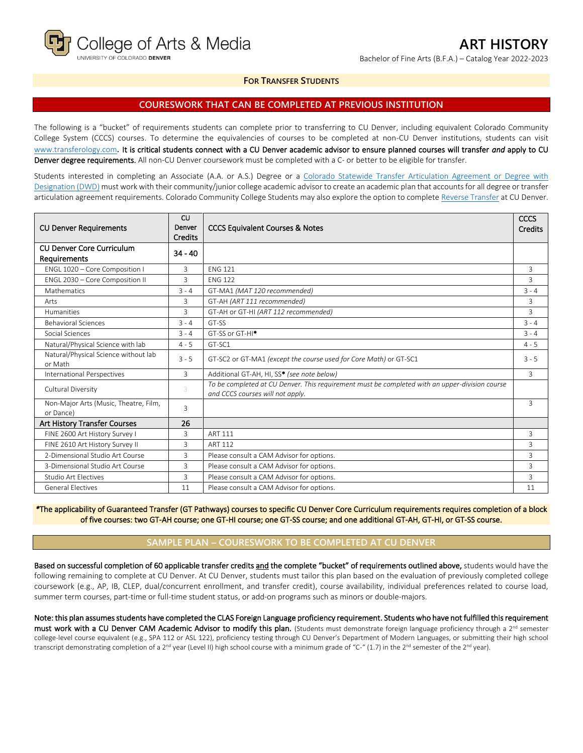

**FOR TRANSFER STUDENTS**

### **COURESWORK THAT CAN BE COMPLETED AT PREVIOUS INSTITUTION**

The following is a "bucket" of requirements students can complete prior to transferring to CU Denver, including equivalent Colorado Community College System (CCCS) courses. To determine the equivalencies of courses to be completed at non-CU Denver institutions, students can visit [www.transferology.com](http://www.transferology.com/)**.** It is critical students connect with a CU Denver academic advisor to ensure planned courses will transfer *and* apply to CU Denver degree requirements. All non-CU Denver coursework must be completed with a C- or better to be eligible for transfer.

Students interested in completing an Associate (A.A. or A.S.) Degree or a Colorado Statewide Transfer Articulation Agreement or Degree with [Designation \(DWD\)](https://highered.colorado.gov/Academics/Transfers/TransferDegrees.html) must work with their community/junior college academic advisor to create an academic plan that accounts for all degree or transfer articulation agreement requirements. Colorado Community College Students may also explore the option to complet[e Reverse Transfer](https://degreewithinreach.wordpress.com/) at CU Denver.

| <b>CU Denver Requirements</b>                      | CU<br>Denver<br><b>Credits</b> | <b>CCCS Equivalent Courses &amp; Notes</b>                                                                                         | CCCS<br>Credits |
|----------------------------------------------------|--------------------------------|------------------------------------------------------------------------------------------------------------------------------------|-----------------|
| <b>CU Denver Core Curriculum</b><br>Requirements   | $34 - 40$                      |                                                                                                                                    |                 |
| ENGL 1020 - Core Composition I                     | 3                              | <b>FNG 121</b>                                                                                                                     | 3               |
| ENGL 2030 - Core Composition II                    | 3                              | <b>ENG 122</b>                                                                                                                     | 3               |
| <b>Mathematics</b>                                 | $3 - 4$                        | GT-MA1 (MAT 120 recommended)                                                                                                       | $3 - 4$         |
| Arts                                               | 3                              | GT-AH (ART 111 recommended)                                                                                                        | 3               |
| Humanities                                         | 3                              | GT-AH or GT-HI (ART 112 recommended)                                                                                               | 3               |
| <b>Behavioral Sciences</b>                         | $3 - 4$                        | GT-SS                                                                                                                              | $3 - 4$         |
| Social Sciences                                    | $3 - 4$                        | GT-SS or GT-HI <sup>*</sup>                                                                                                        | $3 - 4$         |
| Natural/Physical Science with lab                  | $4 - 5$                        | GT-SC1                                                                                                                             | $4 - 5$         |
| Natural/Physical Science without lab<br>or Math    | $3 - 5$                        | GT-SC2 or GT-MA1 (except the course used for Core Math) or GT-SC1                                                                  | $3 - 5$         |
| International Perspectives                         | 3                              | Additional GT-AH, HI, SS* (see note below)                                                                                         | 3               |
| Cultural Diversity                                 | 3                              | To be completed at CU Denver. This requirement must be completed with an upper-division course<br>and CCCS courses will not apply. |                 |
| Non-Major Arts (Music, Theatre, Film,<br>or Dance) | 3                              |                                                                                                                                    | 3               |
| Art History Transfer Courses                       | 26                             |                                                                                                                                    |                 |
| FINE 2600 Art History Survey I                     | 3                              | ART 111                                                                                                                            | 3               |
| FINE 2610 Art History Survey II                    | 3                              | <b>ART 112</b>                                                                                                                     | 3               |
| 2-Dimensional Studio Art Course                    | 3                              | Please consult a CAM Advisor for options.                                                                                          | 3               |
| 3-Dimensional Studio Art Course                    | 3                              | Please consult a CAM Advisor for options.                                                                                          | 3               |
| <b>Studio Art Electives</b>                        | $\overline{3}$                 | Please consult a CAM Advisor for options.                                                                                          | 3               |
| <b>General Electives</b>                           | 11                             | Please consult a CAM Advisor for options.                                                                                          | 11              |

*\**The applicability of Guaranteed Transfer (GT Pathways) courses to specific CU Denver Core Curriculum requirements requires completion of a block of five courses: two GT-AH course; one GT-HI course; one GT-SS course; and one additional GT-AH, GT-HI, or GT-SS course.

# **SAMPLE PLAN – COURESWORK TO BE COMPLETED AT CU DENVER**

Based on successful completion of 60 applicable transfer credits and the complete "bucket" of requirements outlined above, students would have the following remaining to complete at CU Denver. At CU Denver, students must tailor this plan based on the evaluation of previously completed college coursework (e.g., AP, IB, CLEP, dual/concurrent enrollment, and transfer credit), course availability, individual preferences related to course load, summer term courses, part-time or full-time student status, or add-on programs such as minors or double-majors.

Note: this plan assumes students have completed the CLAS Foreign Language proficiency requirement. Students who have not fulfilled this requirement must work with a CU Denver CAM Academic Advisor to modify this plan. (Students must demonstrate foreign language proficiency through a 2<sup>nd</sup> semester college-level course equivalent (e.g., SPA 112 or ASL 122), proficiency testing through CU Denver's Department of Modern Languages, or submitting their high school transcript demonstrating completion of a 2<sup>nd</sup> year (Level II) high school course with a minimum grade of "C-" (1.7) in the 2<sup>nd</sup> semester of the 2<sup>nd</sup> year).